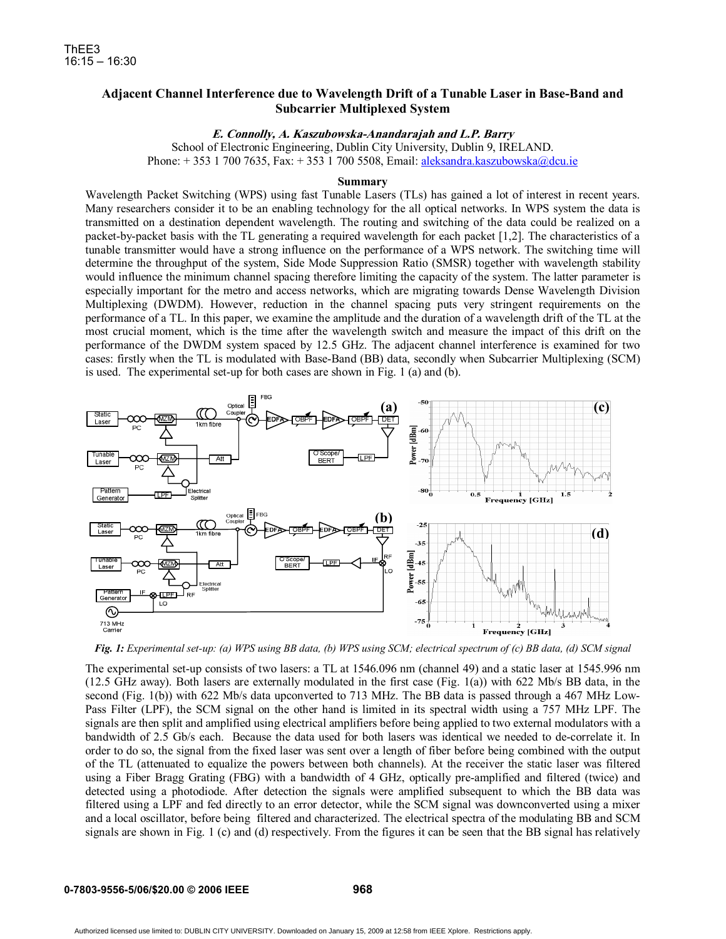## **Adjacent Channel Interference due to Wavelength Drift of a Tunable Laser in Base-Band and Subcarrier Multiplexed System**

## **E. Connolly, A. Kaszubowska-Anandarajah and L.P. Barry**

School of Electronic Engineering, Dublin City University, Dublin 9, IRELAND. Phone: + 353 1 700 7635, Fax: + 353 1 700 5508, Email: aleksandra.kaszubowska@dcu.ie

## **Summary**

Wavelength Packet Switching (WPS) using fast Tunable Lasers (TLs) has gained a lot of interest in recent years. Many researchers consider it to be an enabling technology for the all optical networks. In WPS system the data is transmitted on a destination dependent wavelength. The routing and switching of the data could be realized on a packet-by-packet basis with the TL generating a required wavelength for each packet [1,2]. The characteristics of a tunable transmitter would have a strong influence on the performance of a WPS network. The switching time will determine the throughput of the system, Side Mode Suppression Ratio (SMSR) together with wavelength stability would influence the minimum channel spacing therefore limiting the capacity of the system. The latter parameter is especially important for the metro and access networks, which are migrating towards Dense Wavelength Division Multiplexing (DWDM). However, reduction in the channel spacing puts very stringent requirements on the performance of a TL. In this paper, we examine the amplitude and the duration of a wavelength drift of the TL at the most crucial moment, which is the time after the wavelength switch and measure the impact of this drift on the performance of the DWDM system spaced by 12.5 GHz. The adjacent channel interference is examined for two cases: firstly when the TL is modulated with Base-Band (BB) data, secondly when Subcarrier Multiplexing (SCM) is used. The experimental set-up for both cases are shown in Fig. 1 (a) and (b).



*Fig. 1: Experimental set-up: (a) WPS using BB data, (b) WPS using SCM; electrical spectrum of (c) BB data, (d) SCM signal* 

The experimental set-up consists of two lasers: a TL at 1546.096 nm (channel 49) and a static laser at 1545.996 nm (12.5 GHz away). Both lasers are externally modulated in the first case (Fig. 1(a)) with 622 Mb/s BB data, in the second (Fig. 1(b)) with 622 Mb/s data upconverted to 713 MHz. The BB data is passed through a 467 MHz Low-Pass Filter (LPF), the SCM signal on the other hand is limited in its spectral width using a 757 MHz LPF. The signals are then split and amplified using electrical amplifiers before being applied to two external modulators with a bandwidth of 2.5 Gb/s each. Because the data used for both lasers was identical we needed to de-correlate it. In order to do so, the signal from the fixed laser was sent over a length of fiber before being combined with the output of the TL (attenuated to equalize the powers between both channels). At the receiver the static laser was filtered using a Fiber Bragg Grating (FBG) with a bandwidth of 4 GHz, optically pre-amplified and filtered (twice) and detected using a photodiode. After detection the signals were amplified subsequent to which the BB data was filtered using a LPF and fed directly to an error detector, while the SCM signal was downconverted using a mixer and a local oscillator, before being filtered and characterized. The electrical spectra of the modulating BB and SCM signals are shown in Fig. 1 (c) and (d) respectively. From the figures it can be seen that the BB signal has relatively

**968**